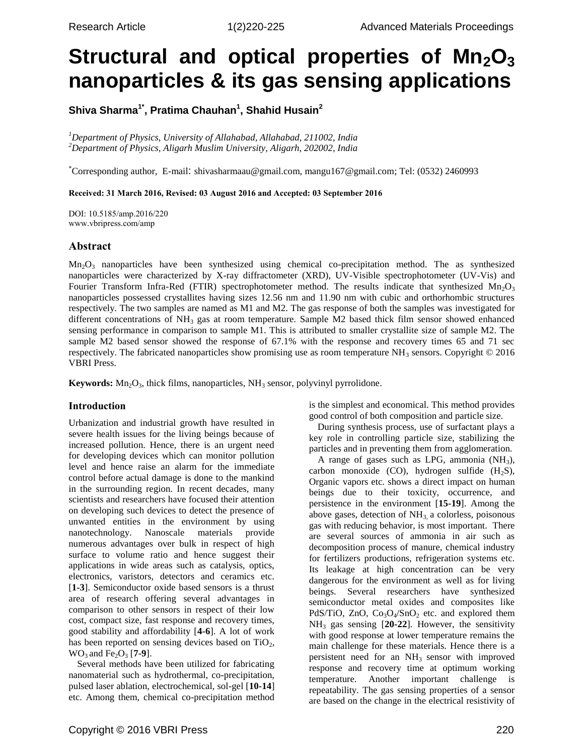# **Structural and optical properties of Mn2O<sup>3</sup> nanoparticles & its gas sensing applications**

**Shiva Sharma1\* , Pratima Chauhan<sup>1</sup> , Shahid Husain<sup>2</sup>**

*<sup>1</sup>Department of Physics, University of Allahabad, Allahabad, 211002, India <sup>2</sup>Department of Physics, Aligarh Muslim University, Aligarh, 202002, India*

\*Corresponding author, E-mail: shivasharmaau@gmail.com, mangu167@gmail.com; Tel: (0532) 2460993

## **Received: 31 March 2016, Revised: 03 August 2016 and Accepted: 03 September 2016**

DOI: 10.5185/amp.2016/220 www.vbripress.com/amp

## **Abstract**

 $Mn<sub>2</sub>O<sub>3</sub>$  nanoparticles have been synthesized using chemical co-precipitation method. The as synthesized nanoparticles were characterized by X-ray diffractometer (XRD), UV-Visible spectrophotometer (UV-Vis) and Fourier Transform Infra-Red (FTIR) spectrophotometer method. The results indicate that synthesized  $Mn_2O_3$ nanoparticles possessed crystallites having sizes 12.56 nm and 11.90 nm with cubic and orthorhombic structures respectively. The two samples are named as M1 and M2. The gas response of both the samples was investigated for different concentrations of NH<sub>3</sub> gas at room temperature. Sample M2 based thick film sensor showed enhanced sensing performance in comparison to sample M1. This is attributed to smaller crystallite size of sample M2. The sample M2 based sensor showed the response of 67.1% with the response and recovery times 65 and 71 sec respectively. The fabricated nanoparticles show promising use as room temperature NH<sub>3</sub> sensors. Copyright  $© 2016$ VBRI Press.

**Keywords:** Mn<sub>2</sub>O<sub>3</sub>, thick films, nanoparticles, NH<sub>3</sub> sensor, polyvinyl pyrrolidone.

## **Introduction**

Urbanization and industrial growth have resulted in severe health issues for the living beings because of increased pollution. Hence, there is an urgent need for developing devices which can monitor pollution level and hence raise an alarm for the immediate control before actual damage is done to the mankind in the surrounding region. In recent decades, many scientists and researchers have focused their attention on developing such devices to detect the presence of unwanted entities in the environment by using nanotechnology. Nanoscale materials provide numerous advantages over bulk in respect of high surface to volume ratio and hence suggest their applications in wide areas such as catalysis, optics, electronics, varistors, detectors and ceramics etc. [**1-3**]. Semiconductor oxide based sensors is a thrust area of research offering several advantages in comparison to other sensors in respect of their low cost, compact size, fast response and recovery times, good stability and affordability [**4-6**]. A lot of work has been reported on sensing devices based on  $TiO<sub>2</sub>$ ,  $WO_3$  and  $Fe_2O_3$  [**7-9**].

Several methods have been utilized for fabricating nanomaterial such as hydrothermal, co-precipitation, pulsed laser ablation, electrochemical, sol-gel [**10-14**] etc. Among them, chemical co-precipitation method

is the simplest and economical. This method provides good control of both composition and particle size.

During synthesis process, use of surfactant plays a key role in controlling particle size, stabilizing the particles and in preventing them from agglomeration.

A range of gases such as LPG, ammonia  $(NH_3)$ , carbon monoxide (CO), hydrogen sulfide  $(H_2S)$ , Organic vapors etc. shows a direct impact on human beings due to their toxicity, occurrence, and persistence in the environment [**15-19**]. Among the above gases, detection of  $NH<sub>3</sub>$ , a colorless, poisonous gas with reducing behavior, is most important. There are several sources of ammonia in air such as decomposition process of manure, chemical industry for fertilizers productions, refrigeration systems etc. Its leakage at high concentration can be very dangerous for the environment as well as for living beings. Several researchers have synthesized semiconductor metal oxides and composites like PdS/TiO, ZnO,  $Co<sub>3</sub>O<sub>4</sub>/SnO<sub>2</sub>$  etc. and explored them NH<sup>3</sup> gas sensing [**20-22**]. However, the sensitivity with good response at lower temperature remains the main challenge for these materials. Hence there is a persistent need for an NH<sub>3</sub> sensor with improved response and recovery time at optimum working temperature. Another important challenge is repeatability. The gas sensing properties of a sensor are based on the change in the electrical resistivity of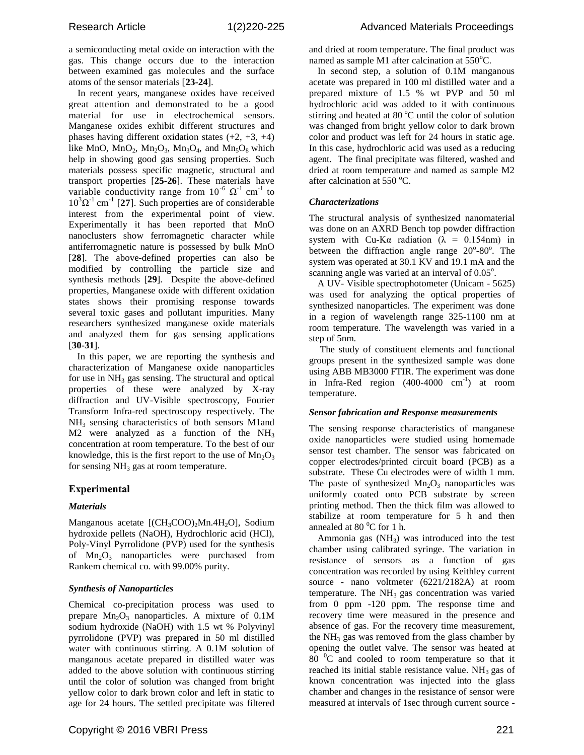a semiconducting metal oxide on interaction with the gas. This change occurs due to the interaction between examined gas molecules and the surface atoms of the sensor materials [**23-24**].

In recent years, manganese oxides have received great attention and demonstrated to be a good material for use in electrochemical sensors. Manganese oxides exhibit different structures and phases having different oxidation states  $(+2, +3, +4)$ like MnO, MnO<sub>2</sub>, Mn<sub>2</sub>O<sub>3</sub>, Mn<sub>3</sub>O<sub>4</sub>, and Mn<sub>5</sub>O<sub>8</sub> which help in showing good gas sensing properties. Such materials possess specific magnetic, structural and transport properties [**25-26**]. These materials have variable conductivity range from  $10^{-6} \Omega^{-1}$  cm<sup>-1</sup> to  $10^3 \Omega^{-1}$  cm<sup>-1</sup> [27]. Such properties are of considerable interest from the experimental point of view. Experimentally it has been reported that MnO nanoclusters show ferromagnetic character while antiferromagnetic nature is possessed by bulk MnO [**28**]. The above-defined properties can also be modified by controlling the particle size and synthesis methods [**29**]. Despite the above-defined properties, Manganese oxide with different oxidation states shows their promising response towards several toxic gases and pollutant impurities. Many researchers synthesized manganese oxide materials and analyzed them for gas sensing applications [**30-31**].

In this paper, we are reporting the synthesis and characterization of Manganese oxide nanoparticles for use in  $NH<sub>3</sub>$  gas sensing. The structural and optical properties of these were analyzed by X-ray diffraction and UV-Visible spectroscopy, Fourier Transform Infra-red spectroscopy respectively. The NH<sup>3</sup> sensing characteristics of both sensors M1and M2 were analyzed as a function of the  $NH<sub>3</sub>$ concentration at room temperature. To the best of our knowledge, this is the first report to the use of  $Mn<sub>2</sub>O<sub>3</sub>$ for sensing  $NH<sub>3</sub>$  gas at room temperature.

## **Experimental**

#### *Materials*

Manganous acetate  $[(CH<sub>3</sub>COO)<sub>2</sub>Mn.4H<sub>2</sub>O]$ , Sodium hydroxide pellets (NaOH), Hydrochloric acid (HCl), Poly-Vinyl Pyrrolidone (PVP) used for the synthesis of  $Mn_2O_3$  nanoparticles were purchased from Rankem chemical co. with 99.00% purity.

#### *Synthesis of Nanoparticles*

Chemical co-precipitation process was used to prepare  $Mn_2O_3$  nanoparticles. A mixture of 0.1M sodium hydroxide (NaOH) with 1.5 wt % Polyvinyl pyrrolidone (PVP) was prepared in 50 ml distilled water with continuous stirring. A 0.1M solution of manganous acetate prepared in distilled water was added to the above solution with continuous stirring until the color of solution was changed from bright yellow color to dark brown color and left in static to age for 24 hours. The settled precipitate was filtered and dried at room temperature. The final product was named as sample M1 after calcination at  $550^{\circ}$ C.

In second step, a solution of 0.1M manganous acetate was prepared in 100 ml distilled water and a prepared mixture of 1.5 % wt PVP and 50 ml hydrochloric acid was added to it with continuous stirring and heated at  $80^{\circ}$ C until the color of solution was changed from bright yellow color to dark brown color and product was left for 24 hours in static age. In this case, hydrochloric acid was used as a reducing agent. The final precipitate was filtered, washed and dried at room temperature and named as sample M2 after calcination at  $550^{\circ}$ C.

## *Characterizations*

The structural analysis of synthesized nanomaterial was done on an AXRD Bench top powder diffraction system with Cu-K $\alpha$  radiation ( $\lambda = 0.154$ nm) in between the diffraction angle range  $20^{\circ}$ -80 $^{\circ}$ . The system was operated at 30.1 KV and 19.1 mA and the scanning angle was varied at an interval of  $0.05^{\circ}$ .

A UV- Visible spectrophotometer (Unicam - 5625) was used for analyzing the optical properties of synthesized nanoparticles. The experiment was done in a region of wavelength range 325-1100 nm at room temperature. The wavelength was varied in a step of 5nm.

The study of constituent elements and functional groups present in the synthesized sample was done using ABB MB3000 FTIR. The experiment was done in Infra-Red region  $(400-4000 \text{ cm}^{-1})$  at room temperature.

#### *Sensor fabrication and Response measurements*

The sensing response characteristics of manganese oxide nanoparticles were studied using homemade sensor test chamber. The sensor was fabricated on copper electrodes/printed circuit board (PCB) as a substrate. These Cu electrodes were of width 1 mm. The paste of synthesized  $Mn_2O_3$  nanoparticles was uniformly coated onto PCB substrate by screen printing method. Then the thick film was allowed to stabilize at room temperature for 5 h and then annealed at 80 $\mathrm{^0C}$  for 1 h.

Ammonia gas  $(NH_3)$  was introduced into the test chamber using calibrated syringe. The variation in resistance of sensors as a function of gas concentration was recorded by using Keithley current source - nano voltmeter (6221/2182A) at room temperature. The  $NH<sub>3</sub>$  gas concentration was varied from 0 ppm -120 ppm. The response time and recovery time were measured in the presence and absence of gas. For the recovery time measurement, the  $NH<sub>3</sub>$  gas was removed from the glass chamber by opening the outlet valve. The sensor was heated at  $80<sup>0</sup>C$  and cooled to room temperature so that it reached its initial stable resistance value.  $NH<sub>3</sub>$  gas of known concentration was injected into the glass chamber and changes in the resistance of sensor were measured at intervals of 1sec through current source -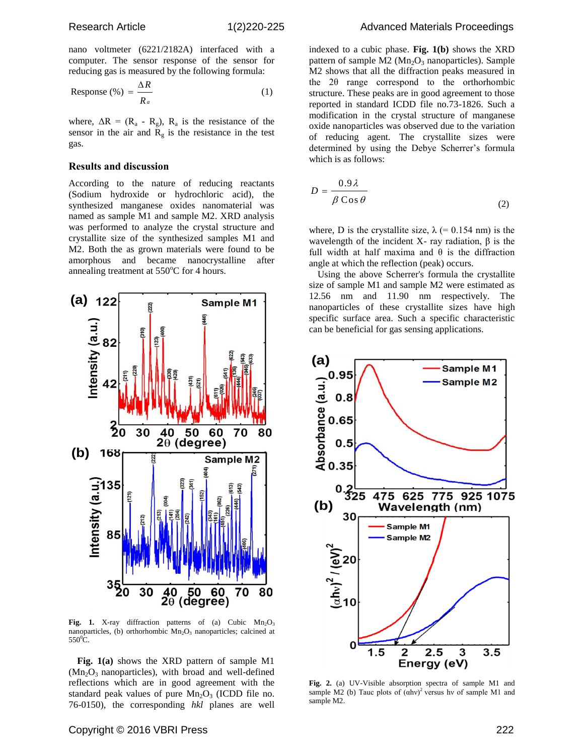nano voltmeter (6221/2182A) interfaced with a computer. The sensor response of the sensor for reducing gas is measured by the following formula:

Response 
$$
(\%) = \frac{\Delta R}{R_a}
$$
 (1)

where,  $\Delta R = (R_a - R_g)$ ,  $R_a$  is the resistance of the sensor in the air and  $R_g$  is the resistance in the test gas.

#### **Results and discussion**

According to the nature of reducing reactants (Sodium hydroxide or hydrochloric acid), the synthesized manganese oxides nanomaterial was named as sample M1 and sample M2. XRD analysis was performed to analyze the crystal structure and crystallite size of the synthesized samples M1 and M2. Both the as grown materials were found to be amorphous and became nanocrystalline after annealing treatment at  $550^{\circ}$ C for 4 hours.



**Fig.** 1. X-ray diffraction patterns of (a) Cubic  $Mn<sub>2</sub>O<sub>3</sub>$ nanoparticles, (b) orthorhombic  $Mn_2O_3$  nanoparticles; calcined at  $550^0$ C.

**Fig. 1(a)** shows the XRD pattern of sample M1  $(Mn<sub>2</sub>O<sub>3</sub>$  nanoparticles), with broad and well-defined reflections which are in good agreement with the standard peak values of pure  $Mn_2O_3$  (ICDD file no. 76-0150), the corresponding *hkl* planes are well indexed to a cubic phase. **Fig. 1(b)** shows the XRD pattern of sample  $M2$  ( $Mn<sub>2</sub>O<sub>3</sub>$  nanoparticles). Sample M2 shows that all the diffraction peaks measured in the 2θ range correspond to the orthorhombic structure. These peaks are in good agreement to those reported in standard ICDD file no.73-1826. Such a modification in the crystal structure of manganese oxide nanoparticles was observed due to the variation of reducing agent. The crystallite sizes were determined by using the Debye Scherrer's formula which is as follows:

$$
D = \frac{0.9\lambda}{\beta \cos \theta} \tag{2}
$$

where, D is the crystallite size,  $\lambda$  (= 0.154 nm) is the wavelength of the incident X- ray radiation,  $β$  is the full width at half maxima and  $\theta$  is the diffraction angle at which the reflection (peak) occurs.

Using the above Scherrer's formula the crystallite size of sample M1 and sample M2 were estimated as 12.56 nm and 11.90 nm respectively. The nanoparticles of these crystallite sizes have high specific surface area. Such a specific characteristic can be beneficial for gas sensing applications.



**Fig. 2.** (a) UV-Visible absorption spectra of sample M1 and sample M2 (b) Tauc plots of  $(\text{ahv})^2$  versus hv of sample M1 and sample M2.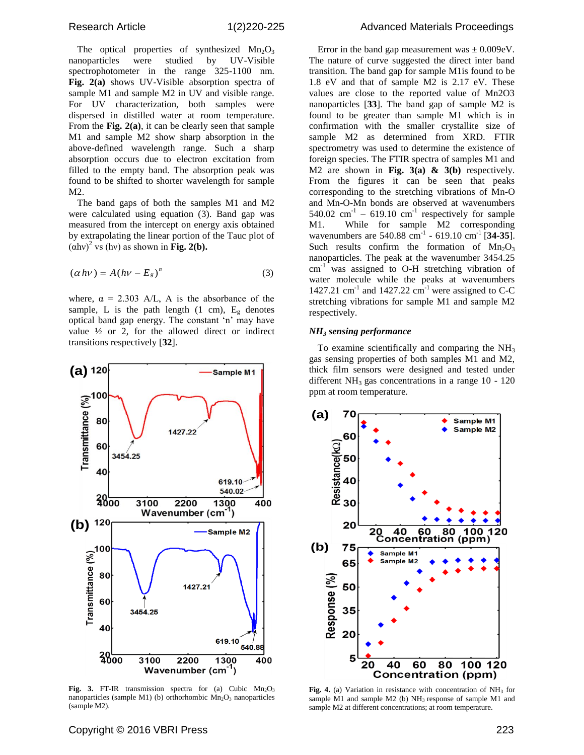The optical properties of synthesized  $Mn_2O_3$ nanoparticles were studied by UV-Visible spectrophotometer in the range 325-1100 nm. **Fig. 2(a)** shows UV-Visible absorption spectra of sample M1 and sample M2 in UV and visible range. For UV characterization, both samples were dispersed in distilled water at room temperature. From the **Fig. 2(a)**, it can be clearly seen that sample M1 and sample M2 show sharp absorption in the above-defined wavelength range. Such a sharp absorption occurs due to electron excitation from filled to the empty band. The absorption peak was found to be shifted to shorter wavelength for sample M2.

The band gaps of both the samples M1 and M2 were calculated using equation (3). Band gap was measured from the intercept on energy axis obtained by extrapolating the linear portion of the Tauc plot of  $(\alpha$ hv)<sup>2</sup> vs (hv) as shown in **Fig. 2(b).** 

$$
(\alpha h v) = A (h v - E_s)^n \tag{3}
$$

where,  $\alpha = 2.303$  A/L, A is the absorbance of the sample, L is the path length (1 cm),  $E<sub>g</sub>$  denotes optical band gap energy. The constant 'n' may have value  $\frac{1}{2}$  or 2, for the allowed direct or indirect transitions respectively [**32**].



Fig. 3. FT-IR transmission spectra for (a) Cubic Mn<sub>2</sub>O<sub>3</sub> nanoparticles (sample M1) (b) orthorhombic  $Mn_2O_3$  nanoparticles (sample M2).

Error in the band gap measurement was  $\pm 0.009$ eV. The nature of curve suggested the direct inter band transition. The band gap for sample M1is found to be 1.8 eV and that of sample M2 is 2.17 eV. These values are close to the reported value of Mn2O3 nanoparticles [**33**]. The band gap of sample M2 is found to be greater than sample M1 which is in confirmation with the smaller crystallite size of sample M2 as determined from XRD. FTIR spectrometry was used to determine the existence of foreign species. The FTIR spectra of samples M1 and M2 are shown in **Fig. 3(a) & 3(b)** respectively. From the figures it can be seen that peaks corresponding to the stretching vibrations of Mn-O and Mn-O-Mn bonds are observed at wavenumbers 540.02  $\text{cm}^{-1}$  – 619.10  $\text{cm}^{-1}$  respectively for sample M1. While for sample M2 corresponding wavenumbers are  $540.88 \text{ cm}^{-1}$  -  $619.10 \text{ cm}^{-1}$  [34-35]. Such results confirm the formation of  $Mn_2O_3$ nanoparticles. The peak at the wavenumber 3454.25  $cm<sup>-1</sup>$  was assigned to O-H stretching vibration of water molecule while the peaks at wavenumbers 1427.21 cm<sup>-1</sup> and 1427.22 cm<sup>-1</sup> were assigned to C-C stretching vibrations for sample M1 and sample M2 respectively.

#### *NH<sup>3</sup> sensing performance*

To examine scientifically and comparing the  $NH<sub>3</sub>$ gas sensing properties of both samples M1 and M2, thick film sensors were designed and tested under different  $NH<sub>3</sub>$  gas concentrations in a range 10 - 120 ppm at room temperature.



Fig. 4. (a) Variation in resistance with concentration of NH<sub>3</sub> for sample M1 and sample M2 (b)  $NH<sub>3</sub>$  response of sample M1 and sample M2 at different concentrations; at room temperature.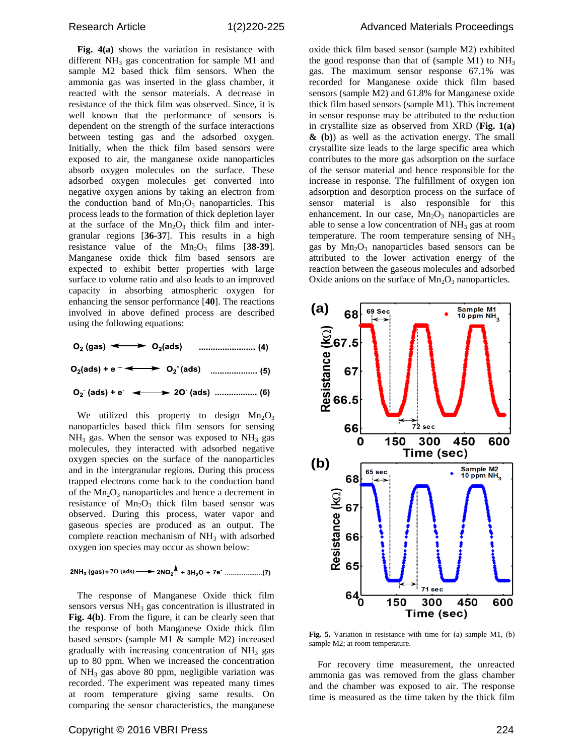**Fig. 4(a)** shows the variation in resistance with different  $NH_3$  gas concentration for sample M1 and sample M2 based thick film sensors. When the ammonia gas was inserted in the glass chamber, it reacted with the sensor materials. A decrease in resistance of the thick film was observed. Since, it is well known that the performance of sensors is dependent on the strength of the surface interactions between testing gas and the adsorbed oxygen. Initially, when the thick film based sensors were exposed to air, the manganese oxide nanoparticles absorb oxygen molecules on the surface. These adsorbed oxygen molecules get converted into negative oxygen anions by taking an electron from the conduction band of  $Mn<sub>2</sub>O<sub>3</sub>$  nanoparticles. This process leads to the formation of thick depletion layer at the surface of the  $Mn_2O_3$  thick film and intergranular regions [**36-37**]. This results in a high resistance value of the  $Mn_2O_3$  films  $[38-39]$ . Manganese oxide thick film based sensors are expected to exhibit better properties with large surface to volume ratio and also leads to an improved capacity in absorbing atmospheric oxygen for enhancing the sensor performance [**40**]. The reactions involved in above defined process are described using the following equations:



We utilized this property to design  $Mn_2O_3$ nanoparticles based thick film sensors for sensing  $NH<sub>3</sub>$  gas. When the sensor was exposed to  $NH<sub>3</sub>$  gas molecules, they interacted with adsorbed negative oxygen species on the surface of the nanoparticles and in the intergranular regions. During this process trapped electrons come back to the conduction band of the  $Mn_2O_3$  nanoparticles and hence a decrement in resistance of  $Mn<sub>2</sub>O<sub>3</sub>$  thick film based sensor was observed. During this process, water vapor and gaseous species are produced as an output. The complete reaction mechanism of  $NH<sub>3</sub>$  with adsorbed oxygen ion species may occur as shown below:

The response of Manganese Oxide thick film sensors versus  $NH<sub>3</sub>$  gas concentration is illustrated in **Fig. 4(b)**. From the figure, it can be clearly seen that the response of both Manganese Oxide thick film based sensors (sample M1 & sample M2) increased gradually with increasing concentration of  $NH<sub>3</sub>$  gas up to 80 ppm. When we increased the concentration of  $NH<sub>3</sub>$  gas above 80 ppm, negligible variation was recorded. The experiment was repeated many times at room temperature giving same results. On comparing the sensor characteristics, the manganese

oxide thick film based sensor (sample M2) exhibited the good response than that of (sample M1) to  $NH<sub>3</sub>$ gas. The maximum sensor response 67.1% was recorded for Manganese oxide thick film based sensors (sample M2) and 61.8% for Manganese oxide thick film based sensors (sample M1). This increment in sensor response may be attributed to the reduction in crystallite size as observed from XRD (**Fig. 1(a) & (b)**) as well as the activation energy. The small crystallite size leads to the large specific area which contributes to the more gas adsorption on the surface of the sensor material and hence responsible for the increase in response. The fulfillment of oxygen ion adsorption and desorption process on the surface of sensor material is also responsible for this enhancement. In our case,  $Mn_2O_3$  nanoparticles are able to sense a low concentration of  $NH<sub>3</sub>$  gas at room temperature. The room temperature sensing of  $NH<sub>3</sub>$ gas by Mn<sub>2</sub>O<sub>3</sub> nanoparticles based sensors can be attributed to the lower activation energy of the reaction between the gaseous molecules and adsorbed Oxide anions on the surface of  $Mn_2O_3$  nanoparticles.



**Fig. 5.** Variation in resistance with time for (a) sample M1, (b) sample M2; at room temperature.

For recovery time measurement, the unreacted ammonia gas was removed from the glass chamber and the chamber was exposed to air. The response time is measured as the time taken by the thick film